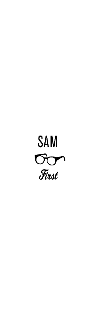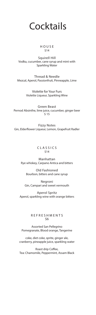

#### HOUSE \$14

Squirell Hill Vodka, cucumber, cane syrup and mint with Sparkling Water

Thread & Needle Mezcal, Aperol, Passionfruit, Pinneapple, Lime

> Violette for Your Furs Violette Liqueur, Sparkling Wine

Green Beast Pernod Absinthe, lime juice, cucumber, ginger beer \$ 15

Fizzy Notes Gin, Elderflower Liqueur, Lemon, Grapefruit Radler

> CLASSICS \$14

Manhattan Rye whiskey, Carpano Antica and bitters

> Old Fashioned Bourbon, bitters and cane syrup

Negroni Gin, Campari and sweet vermouth

Aperol Spritz Aperol, sparkling wine with orange bitters

> REFRESHMENTS \$6

Assorted San Pellegrino Pomegranate, Blood orange, Tangerine

coke, diet coke, sprite, ginger ale, cranberry, pineapple juice, sparkling water

Roast drip Coffee, Tea: Chamomile, Peppermint, Assam Black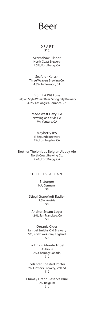Beer

#### DRAFT \$12

Scrimshaw Pilsner North Coast Brewery 4.5%, Fort Bragg, CA

Seafarer Kolsch Three Weavers Brewing Co. 4.8%, Inglewood, CA

From LA Wit Love Belgian Style Wheat Beer, Smog City Brewery 4.8%, Los Angles, Torrance, CA

> Made West Hazy IPA New Ingland Style IPA 7%, Ventura, CA

Mayberry IPA El Segundo Brewery 7%, Los Angeles, CA

Brother Thelonious Belgian Abbey Ale North Coast Brewing Co. 9.4%, Fort Bragg, CA

BOTTLES & CANS

Bitburger NA, Germany \$8

Stiegl Grapefruit Radler 2.5%, Austria \$8

Anchor Steam Lager 4.9%, San Francisco, CA \$8

Organic Cider Samuel Smith's Old Brewery 5%, North Yorkshire, England \$9

La Fin du Monde Tripel Unibroue 9%, Chambly Canada. \$12

Icelandic Toasted Porter 6%, Einstock Brewery, Iceland \$12

Chimay Grand Reserve Blue 9%, Belgium \$12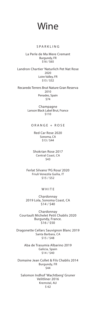### Wine

#### SPARKLING

La Perle de Ma Mere Cremant Burgundy, FR \$16 / \$65

Landron Chartier 'Naturlich Pet Nat Rose 2020 Loire Valley, FR \$15 / \$52

Recaredo Terrers Brut Nature Gran Reserva 2010 Penades, Spain \$74

> Champagne Lanson Black Label Brut, France \$110

ORANGE + ROSE

Red Car Rose 2020 Sonoma, CA \$13 / \$44

Shokrian Rose 2017 Central Coast, CA \$43

Ferlat Silvano 'PG Rosa' 2020 Friuli Venezila Guilia, IT \$15 / \$52

#### **WHITE**

Chardonnay 2019 Lola, Sonoma Coast, CA \$14 / \$40

Chardonnay Courtault Michelet Petit Chablis 2020 Burgundy, France. \$16 / \$50

Dragonette Cellars Sauvignon Blanc 2019 Santa Barbara, CA \$15 / \$48

> Aba de Trasumia Albarino 2019 Galicia, Spain \$14 / \$40

Domaine Jean Collet & Fils Chablis 2014 Burgundy, FR \$44

Salomon Indhof 'Wachtberg' Gruner Velitliner 2016 Kremstal, AU \$ 62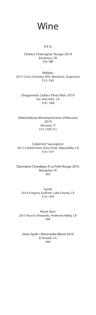Wine

#### RED

Chateu Chavrignac Rouge 2019 Bordeaux, FR \$14 / \$48

Malbec 2017 Cinco Sentidos RSV, Mendoza, Argentina \$13 / \$43

Dragonette Cellars Pinot Noir 2019 Sta. Rita Hills, CA \$18 / \$68

Abbondanza Montepulciano d'Abruzzo 2019 Abruzzo, IT \$12 / \$58 (1L)

Cabernet Sauvignon 2013 Cobblestone Atlas Peak, Napa Valley, CA \$16 / \$57

Daomaine Chardigny A La Folie Rouge 2016 Beaujolais, FR \$63

Syrah 2014 Gregory Graham, Lake County, CA \$14 / \$44

Pinot Noir 2015 Husch Vineyards, Anderson Valley, CA \$66

Irene Syrah / Mourvedre Blend 2016 El Dorado, CA \$60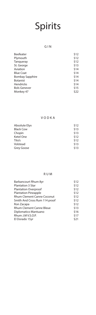#### GIN

| \$12 |
|------|
| \$12 |
| \$12 |
| \$13 |
| \$14 |
| \$14 |
| \$14 |
| \$14 |
| \$14 |
| \$15 |
| \$22 |
|      |

#### VODKA

| Absolute Elyx    | \$12 |
|------------------|------|
| <b>Black Cow</b> | \$13 |
| Chopin           | \$13 |
| Ketel One        | \$12 |
| Tito's           | \$12 |
| Volstead         | \$13 |
| Grey Goose       | \$13 |

#### RUM

| Barbancourt Rhum 8yr          | \$12 |
|-------------------------------|------|
| Plantation 3 Star             | \$12 |
| Plantation Overproof          | \$12 |
| <b>Plantation Pineapple</b>   | \$12 |
| Rhum Clement Canne Coconut    | \$12 |
| Smith And Cross Rum 114 proof | \$12 |
| Ron Zacapa                    | \$12 |
| Rhum Clement Canne Bleue      | \$13 |
| Diplomatico Mantuano          | \$16 |
| Rhum J.M V.S.O.P.             | \$17 |
| El Dorado 15yr                | \$21 |
|                               |      |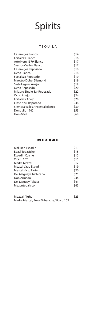#### TEQUILA

| Casamigos Blanco                | \$14 |
|---------------------------------|------|
| Fortaleza Blanco                | \$16 |
| Arte Nom 1579 Blanco            | \$17 |
| Siembra Valles Blanco           | \$17 |
| Casamigos Reposado              | \$18 |
| Ocho Blanco                     | \$18 |
| Fortaleza Reposado              | \$19 |
| Maestro Dobel Diamond           | \$19 |
| Siete Leguas Anejo              | \$19 |
| Ocho Reposado                   | \$20 |
| Milagro Single Bar Reposado     | \$22 |
| Ocho Anejo                      | \$24 |
| Fortaleza Anejo                 | \$28 |
| Clase Azul Reposado             | \$38 |
| Siembra Valles Ancestral Blanco | \$39 |
| Don Julio 1942                  | \$53 |
| Don Artes                       | \$60 |
|                                 |      |

#### **MEZCAL**

| Mal Bien Espadin       | \$13 |
|------------------------|------|
| <b>Bozal Tobasiche</b> | \$15 |
| Espadin Cuishe         | \$15 |
| Xicaru 102             | \$15 |
| Madre Mezcal           | \$17 |
| Mezcal Vago Espadin    | \$19 |
| Mezcal Vago Elote      | \$20 |
| Del Maguey Chichicapa  | \$25 |
| Don Armado             | \$34 |
| Del Maguey Tobala      | \$41 |
| Mezonte Jalisco        | \$45 |
|                        |      |
|                        |      |

Mezcal flight  $$23$ Madre Mezcal, Bozal Tobasiche, Xicaru 102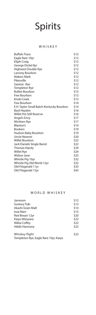#### WHISKEY

| <b>Buffalo Trace</b>                     | \$12 |
|------------------------------------------|------|
| Eagle Rare 10yr                          | \$12 |
| Elijah Craig                             | \$12 |
| George Dickel 8yr                        | \$12 |
| Highwest Double Rye                      | \$12 |
| Larceny Bourbon                          | \$12 |
| <b>Makers Mark</b>                       | \$12 |
| Pikesville                               | \$12 |
| Sazerac Rye                              | \$12 |
| <b>Templeton Rye</b>                     | \$12 |
| <b>Bulliet Bourbon</b>                   | \$13 |
| Few Bourbon                              | \$13 |
| Knob Creek                               | \$13 |
| Few Bourbon                              | \$14 |
| E.H. Taylor Small Batch Kentucky Bourbon | \$14 |
| <b>Basil Hayden</b>                      | \$16 |
| <b>Willet Pot Still Reserve</b>          | \$16 |
| Angel's Envy                             | \$17 |
| <b>Michters Rye</b>                      | \$17 |
| Blanton's                                | \$19 |
| <b>Bookers</b>                           | \$19 |
| Hudson Baby Bourbon                      | \$19 |
| <b>Uncle Nearest</b>                     | \$20 |
| <b>Willet Bourbon</b>                    | \$22 |
| Jack Daniels Single Barrel               | \$22 |
| Thomas Handy                             | \$24 |
| <b>Willet Rye</b>                        | \$24 |
| <b>Widow Jane</b>                        | \$25 |
| Whistle Pig 10yr                         | \$32 |
| Whistle Pig Old World 12yr               | \$32 |
| Old Fitzgerald 11yr                      | \$33 |
| Old Fitzgerald 15yr                      | \$45 |
|                                          |      |

#### WORLD WHISKEY

| Jameson                               | \$12 |
|---------------------------------------|------|
| Suntory Toki                          | \$13 |
| Akashi Grain Malt                     | \$14 |
| Iwai Mars                             | \$15 |
| Red Breast 12yr                       | \$20 |
| Kaiyo Mizuzara                        | \$22 |
| Nikka Coffey                          | \$22 |
| Hibiki Harmony                        | \$23 |
| Whiskey flight                        | \$23 |
| Templeton Rye, Eagle Rare 10yr, Kaiyo |      |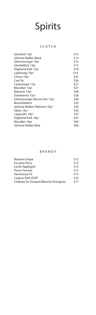#### SCOTCH

| Glenlivet 12yr               | \$13 |
|------------------------------|------|
| Johnnie Walker Black         | \$13 |
| Glenmorangie 10yr            | \$14 |
| Glenfiddich 12yr             | \$15 |
| Highland Park 12yr           | \$18 |
| Laphroaig 10yr               | \$19 |
| Chivas 18yr                  | \$25 |
| Caol Ila                     | \$26 |
| Cadenhead 17yr               | \$27 |
| Macallan 12yr                | \$27 |
| Balvenie 14yr                | \$28 |
| Dalwhinnie 15yr              | \$28 |
| Glenmorangie Nectar Dor 12yr | \$28 |
| <b>Bruichladdich</b>         | \$29 |
| Johnnie Walker Platinum 18yr | \$30 |
| Oban 14yr                    | \$30 |
| Lagavulin 16yr               | \$33 |
| Highland Park 18yr           | \$47 |
| Macallan 18yr                | \$60 |
| Johnnie Walker Blue          | \$60 |

#### BRANDY

| Bassano Grapa                        | \$12 |
|--------------------------------------|------|
| <b>Encanto Pisco</b>                 | \$12 |
| Lairds Applejack                     | \$12 |
| Pierre Ferrand                       | \$12 |
| Hennessey VS                         | \$15 |
| Cognac Park VSOP                     | \$16 |
| Chateau Du Tariquet Blanche Armagnac | \$17 |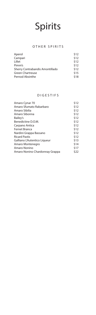#### OTHER SPIRITS

| \$12 |
|------|
| \$12 |
| \$12 |
| \$12 |
| \$12 |
| \$15 |
| \$18 |
|      |

#### DIGESTIFS

| Amaro Cynar 70                 | \$12 |
|--------------------------------|------|
| Amaro Sfumato Rabarbaro        | \$12 |
| Amaro Sibilia                  | \$12 |
| Amaro Sibonna                  | \$12 |
| Bailey's                       | \$12 |
| Benedictine D.O.M.             | \$12 |
| Carpano Antica                 | \$12 |
| Fernet Branca                  | \$12 |
| Nardini Grappa Bassano         | \$12 |
| <b>Ricard Pastis</b>           | \$12 |
| Galliano L'Autentico Liqueur   | \$13 |
| Amaro Montenegro               | \$14 |
| Amaro Nonino                   | \$17 |
| Amaro Nonino Chardonnay Grappa | \$22 |
|                                |      |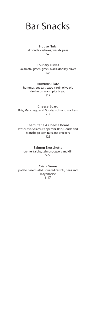### Bar Snacks

House Nuts almonds, cashews, wasabi peas \$7

Country Olives kalamata, green, greek black, donkey olives \$9

Hummus Plate hummus, sea salt, extra virgin olive oil, dry herbs, warm pita bread \$12

Cheese Board Brie, Manchego and Gouda, nuts and crackers \$17

Charcuterie & Cheese Board Prosciutto, Salami, Pepperoni, Brie, Gouda and Manchego with nuts and crackers \$25

Salmon Bruschetta creme fraiche, salmon, capers and dill \$22

Crisis Genre potato based salad, squared carrots, peas and mayonneise  $517$